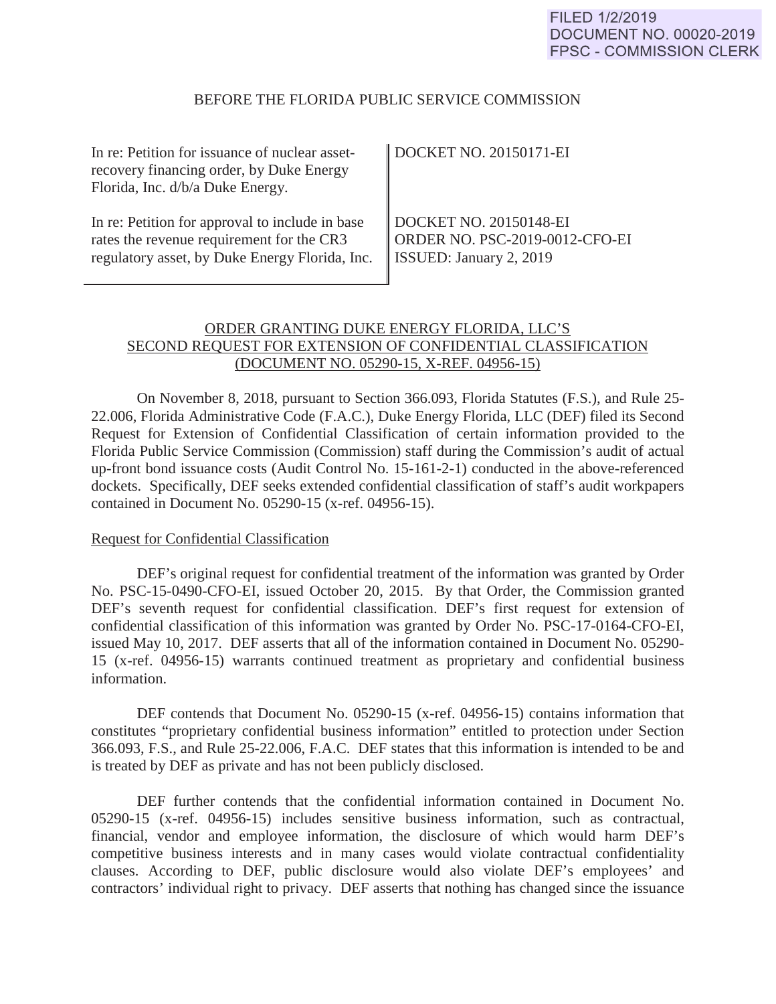#### BEFORE THE FLORIDA PUBLIC SERVICE COMMISSION

| In re: Petition for issuance of nuclear asset-<br>recovery financing order, by Duke Energy<br>Florida, Inc. d/b/a Duke Energy. | DOCKET NO. 20150171-EI         |
|--------------------------------------------------------------------------------------------------------------------------------|--------------------------------|
| In re: Petition for approval to include in base                                                                                | DOCKET NO. 20150148-EI         |
| rates the revenue requirement for the CR3                                                                                      | ORDER NO. PSC-2019-0012-CFO-EI |
| regulatory asset, by Duke Energy Florida, Inc.                                                                                 | SSUED: January 2, 2019         |

# ORDER GRANTING DUKE ENERGY FLORIDA, LLC'S SECOND REQUEST FOR EXTENSION OF CONFIDENTIAL CLASSIFICATION (DOCUMENT NO. 05290-15, X-REF. 04956-15)

On November 8, 2018, pursuant to Section 366.093, Florida Statutes (F.S.), and Rule 25- 22.006, Florida Administrative Code (F.A.C.), Duke Energy Florida, LLC (DEF) filed its Second Request for Extension of Confidential Classification of certain information provided to the Florida Public Service Commission (Commission) staff during the Commission's audit of actual up-front bond issuance costs (Audit Control No. 15-161-2-1) conducted in the above-referenced dockets. Specifically, DEF seeks extended confidential classification of staff's audit workpapers contained in Document No. 05290-15 (x-ref. 04956-15).

### Request for Confidential Classification

 DEF's original request for confidential treatment of the information was granted by Order No. PSC-15-0490-CFO-EI, issued October 20, 2015. By that Order, the Commission granted DEF's seventh request for confidential classification. DEF's first request for extension of confidential classification of this information was granted by Order No. PSC-17-0164-CFO-EI, issued May 10, 2017. DEF asserts that all of the information contained in Document No. 05290- 15 (x-ref. 04956-15) warrants continued treatment as proprietary and confidential business information.

 DEF contends that Document No. 05290-15 (x-ref. 04956-15) contains information that constitutes "proprietary confidential business information" entitled to protection under Section 366.093, F.S., and Rule 25-22.006, F.A.C. DEF states that this information is intended to be and is treated by DEF as private and has not been publicly disclosed.

 DEF further contends that the confidential information contained in Document No. 05290-15 (x-ref. 04956-15) includes sensitive business information, such as contractual, financial, vendor and employee information, the disclosure of which would harm DEF's competitive business interests and in many cases would violate contractual confidentiality clauses. According to DEF, public disclosure would also violate DEF's employees' and contractors' individual right to privacy. DEF asserts that nothing has changed since the issuance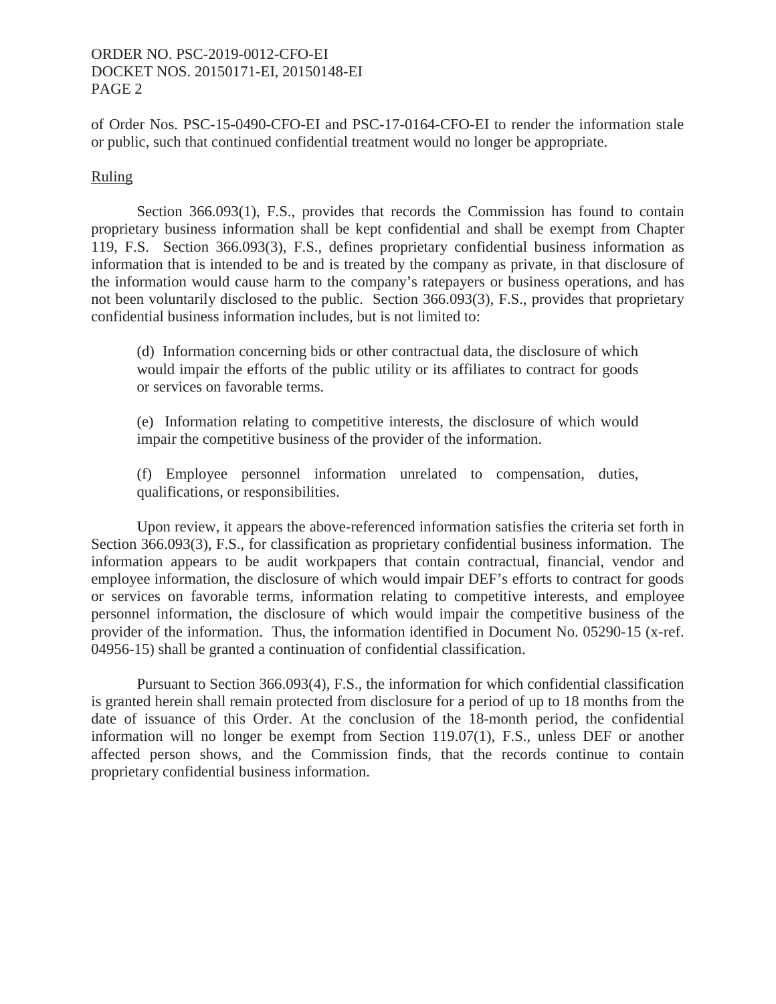## ORDER NO. PSC-2019-0012-CFO-EI DOCKET NOS. 20150171-EI, 20150148-EI PAGE 2

of Order Nos. PSC-15-0490-CFO-EI and PSC-17-0164-CFO-EI to render the information stale or public, such that continued confidential treatment would no longer be appropriate.

#### Ruling

Section 366.093(1), F.S., provides that records the Commission has found to contain proprietary business information shall be kept confidential and shall be exempt from Chapter 119, F.S. Section 366.093(3), F.S., defines proprietary confidential business information as information that is intended to be and is treated by the company as private, in that disclosure of the information would cause harm to the company's ratepayers or business operations, and has not been voluntarily disclosed to the public. Section 366.093(3), F.S., provides that proprietary confidential business information includes, but is not limited to:

(d) Information concerning bids or other contractual data, the disclosure of which would impair the efforts of the public utility or its affiliates to contract for goods or services on favorable terms.

(e) Information relating to competitive interests, the disclosure of which would impair the competitive business of the provider of the information.

(f) Employee personnel information unrelated to compensation, duties, qualifications, or responsibilities.

Upon review, it appears the above-referenced information satisfies the criteria set forth in Section 366.093(3), F.S., for classification as proprietary confidential business information. The information appears to be audit workpapers that contain contractual, financial, vendor and employee information, the disclosure of which would impair DEF's efforts to contract for goods or services on favorable terms, information relating to competitive interests, and employee personnel information, the disclosure of which would impair the competitive business of the provider of the information. Thus, the information identified in Document No. 05290-15 (x-ref. 04956-15) shall be granted a continuation of confidential classification.

Pursuant to Section 366.093(4), F.S., the information for which confidential classification is granted herein shall remain protected from disclosure for a period of up to 18 months from the date of issuance of this Order. At the conclusion of the 18-month period, the confidential information will no longer be exempt from Section 119.07(1), F.S., unless DEF or another affected person shows, and the Commission finds, that the records continue to contain proprietary confidential business information.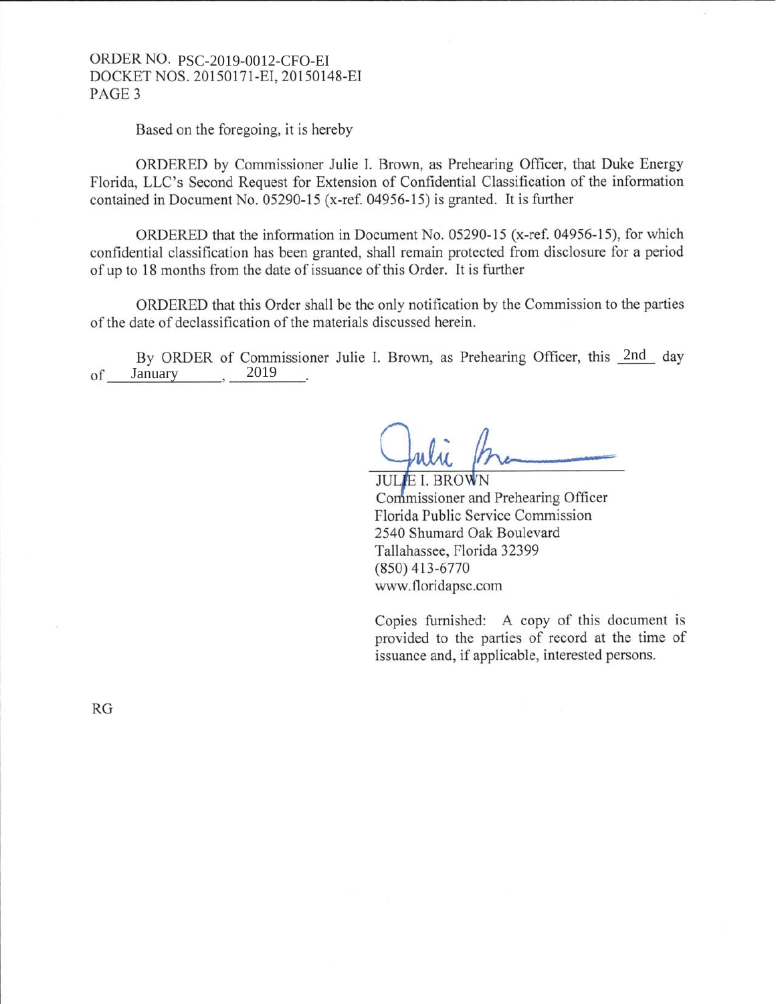## ORDER NO. PSC-2019-0012-CFO-EI DOCKET NOS. 20150171-EI, 20150148-EI PAGE 3

Based on the foregoing, it is hereby

ORDERED by Commissioner Julie I. Brown, as Prehearing Officer, that Duke Energy Florida, LLC's Second Request for Extension of Confidential Classification of the information contained in Document No. 05290-15 (x-ref. 04956-15) is granted. It is further

ORDERED that the information in Document No. 05290-15 (x-ref. 04956-15), for which confidential classification has been granted, shall remain protected from disclosure for a period of up to 18 months from the date of issuance of this Order. It is further

ORDERED that this Order shall be the only notification by the Commission to the parties of the date of declassification of the materials discussed herein.

By ORDER of Commissioner Julie I. Brown, as Prehearing Officer, this 2nd day 2019 of January ,

**JULIE I. BROWN** Commissioner and Prehearing Officer Florida Public Service Commission 2540 Shumard Oak Boulevard Tallahassee, Florida 32399  $(850)$  413-6770 www.floridapsc.com

Copies furnished: A copy of this document is provided to the parties of record at the time of issuance and, if applicable, interested persons.

**RG**